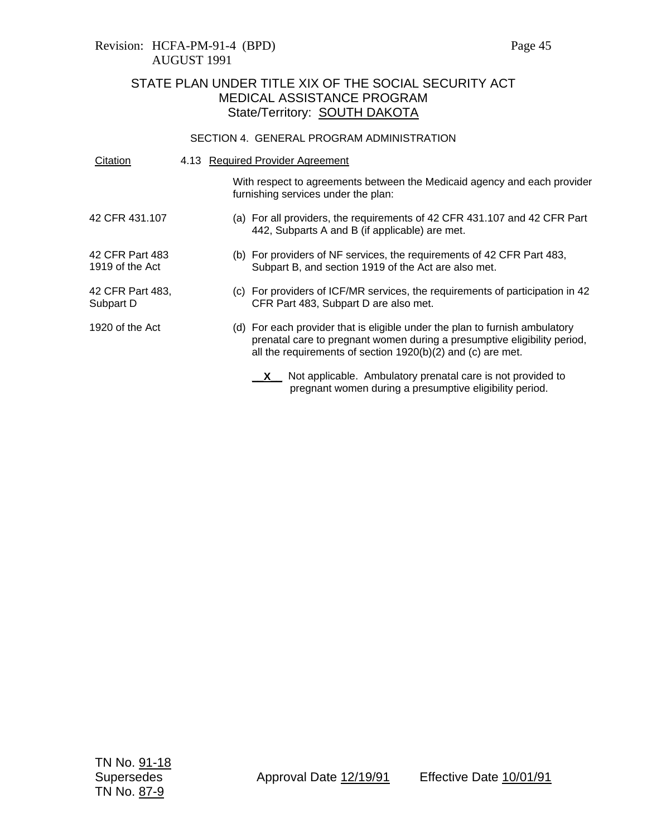Revision: HCFA-PM-91-4 (BPD) Page 45 AUGUST 1991

# STATE PLAN UNDER TITLE XIX OF THE SOCIAL SECURITY ACT MEDICAL ASSISTANCE PROGRAM State/Territory: SOUTH DAKOTA

### SECTION 4. GENERAL PROGRAM ADMINISTRATION

| Citation                           | 4.13 Required Provider Agreement |                                                                                                                                                                                                                        |  |
|------------------------------------|----------------------------------|------------------------------------------------------------------------------------------------------------------------------------------------------------------------------------------------------------------------|--|
|                                    |                                  | With respect to agreements between the Medicaid agency and each provider<br>furnishing services under the plan:                                                                                                        |  |
| 42 CFR 431.107                     |                                  | (a) For all providers, the requirements of 42 CFR 431.107 and 42 CFR Part<br>442, Subparts A and B (if applicable) are met.                                                                                            |  |
| 42 CFR Part 483<br>1919 of the Act |                                  | (b) For providers of NF services, the requirements of 42 CFR Part 483,<br>Subpart B, and section 1919 of the Act are also met.                                                                                         |  |
| 42 CFR Part 483,<br>Subpart D      |                                  | (c) For providers of ICF/MR services, the requirements of participation in 42<br>CFR Part 483, Subpart D are also met.                                                                                                 |  |
| 1920 of the Act                    |                                  | (d) For each provider that is eligible under the plan to furnish ambulatory<br>prenatal care to pregnant women during a presumptive eligibility period,<br>all the requirements of section 1920(b)(2) and (c) are met. |  |
|                                    |                                  | $X$ Not applicable. Ambulatory prenatal care is not provided to<br>pregnant women during a presumptive eligibility period.                                                                                             |  |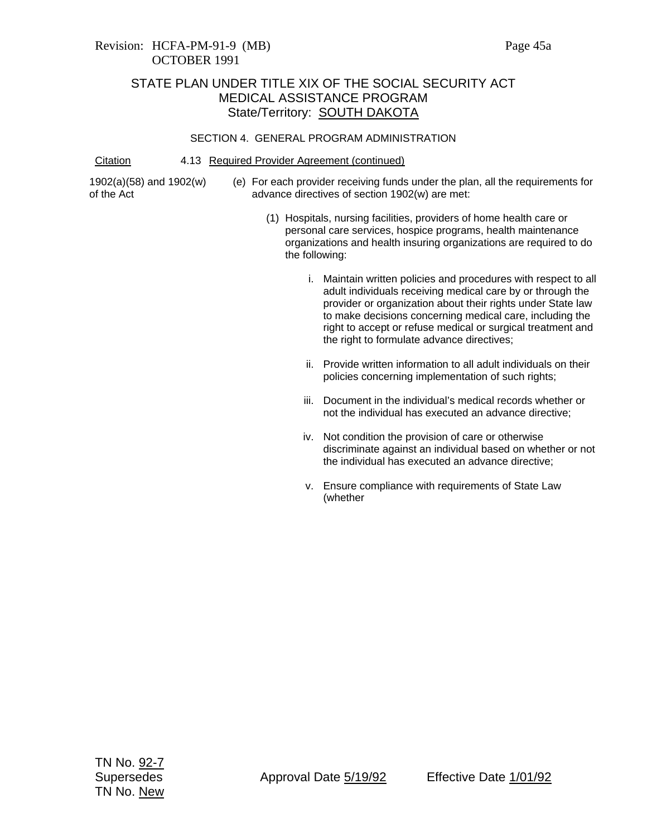## STATE PLAN UNDER TITLE XIX OF THE SOCIAL SECURITY ACT MEDICAL ASSISTANCE PROGRAM State/Territory: **SOUTH DAKOTA**

#### SECTION 4. GENERAL PROGRAM ADMINISTRATION

Citation 4.13 Required Provider Agreement (continued)

1902(a)(58) and 1902(w) of the Act

- (e) For each provider receiving funds under the plan, all the requirements for advance directives of section 1902(w) are met:
	- (1) Hospitals, nursing facilities, providers of home health care or personal care services, hospice programs, health maintenance organizations and health insuring organizations are required to do the following:
		- i. Maintain written policies and procedures with respect to all adult individuals receiving medical care by or through the provider or organization about their rights under State law to make decisions concerning medical care, including the right to accept or refuse medical or surgical treatment and the right to formulate advance directives;
		- ii. Provide written information to all adult individuals on their policies concerning implementation of such rights;
		- iii. Document in the individual's medical records whether or not the individual has executed an advance directive;
		- iv. Not condition the provision of care or otherwise discriminate against an individual based on whether or not the individual has executed an advance directive;
		- v. Ensure compliance with requirements of State Law (whether